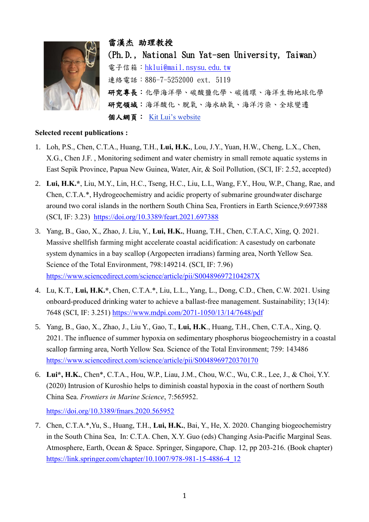

雷漢杰 助理教授 (Ph.D., National Sun Yat-sen University, Taiwan) 電子信箱: [hklui@mail.nsysu.edu.tw](mailto:hklui@mail.nsysu.edu.tw) 連絡電話:886-7-5252000 ext. 5119 研究專長:化學海洋學、碳酸鹽化學、碳循環、海洋生物地球化學 研究領域:海洋酸化、脫氧、海水缺氧、海洋污染、全球變遷 個人網頁: [Kit Lui's website](https://kitlui.weebly.com/)

## **Selected recent publications :**

- 1. Loh, P.S., Chen, C.T.A., Huang, T.H., **Lui, H.K.**, Lou, J.Y., Yuan, H.W., Cheng, L.X., Chen, X.G., Chen J.F. , Monitoring sediment and water chemistry in small remote aquatic systems in East Sepik Province, Papua New Guinea, Water, Air, & Soil Pollution, (SCI, IF: 2.52, accepted)
- 2. **Lui, H.K.\***, Liu, M.Y., Lin, H.C., Tseng, H.C., Liu, L.L, Wang, F.Y., Hou, W.P., Chang, Rae, and Chen, C.T.A.\*, Hydrogeochemistry and acidic property of submarine groundwater discharge around two coral islands in the northern South China Sea, Frontiers in Earth Science,9:697388 (SCI, IF: 3.23) <https://doi.org/10.3389/feart.2021.697388>
- 3. Yang, B., Gao, X., Zhao, J. Liu, Y., **Lui, H.K.**, Huang, T.H., Chen, C.T.A.C, Xing, Q. 2021. Massive shellfish farming might accelerate coastal acidification: A casestudy on carbonate system dynamics in a bay scallop (Argopecten irradians) farming area, North Yellow Sea. Science of the Total Environment, 798:149214. (SCI, IF: 7.96) <https://www.sciencedirect.com/science/article/pii/S004896972104287X>
- 4. Lu, K.T., **Lui, H.K.\***, Chen, C.T.A.\*, Liu, L.L., Yang, L., Dong, C.D., Chen, C.W. 2021. Using onboard-produced drinking water to achieve a ballast-free management. Sustainability; 13(14): 7648 (SCI, IF: 3.251)<https://www.mdpi.com/2071-1050/13/14/7648/pdf>
- 5. Yang, B., Gao, X., Zhao, J., Liu Y., Gao, T., **Lui, H.K**., Huang, T.H., Chen, C.T.A., Xing, Q. 2021. The influence of summer hypoxia on sedimentary phosphorus biogeochemistry in a coastal scallop farming area, North Yellow Sea. Science of the Total Environment; 759: 143486 <https://www.sciencedirect.com/science/article/pii/S0048969720370170>
- 6. **Lui\*, H.K.**, Chen\*, C.T.A., Hou, W.P., Liau, J.M., Chou, W.C., Wu, C.R., Lee, J., & Choi, Y.Y. (2020) Intrusion of Kuroshio helps to diminish coastal hypoxia in the coast of northern South China Sea. *Frontiers in Marine Science*, 7:565952.

<https://doi.org/10.3389/fmars.2020.565952>

7. Chen, C.T.A.\*,Yu, S., Huang, T.H., **Lui, H.K.**, Bai, Y., He, X. 2020. Changing biogeochemistry in the South China Sea, In: C.T.A. Chen, X.Y. Guo (eds) Changing Asia-Pacific Marginal Seas. Atmosphere, Earth, Ocean & Space. Springer, Singapore, Chap. 12, pp 203-216. (Book chapter) [https://link.springer.com/chapter/10.1007/978-981-15-4886-4\\_12](https://link.springer.com/chapter/10.1007/978-981-15-4886-4_12)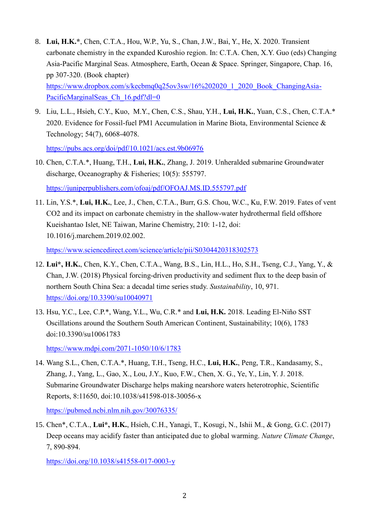- 8. **Lui, H.K.\***, Chen, C.T.A., Hou, W.P., Yu, S., Chan, J.W., Bai, Y., He, X. 2020. Transient carbonate chemistry in the expanded Kuroshio region. In: C.T.A. Chen, X.Y. Guo (eds) Changing Asia-Pacific Marginal Seas. Atmosphere, Earth, Ocean & Space. Springer, Singapore, Chap. 16, pp 307-320. (Book chapter) [https://www.dropbox.com/s/kecbmq0q25ov3sw/16%202020\\_1\\_2020\\_Book\\_ChangingAsia-](https://www.dropbox.com/s/kecbmq0q25ov3sw/16%202020_1_2020_Book_ChangingAsia-PacificMarginalSeas_Ch_16.pdf?dl=0)PacificMarginalSeas Ch\_16.pdf?dl=0
- 9. Liu, L.L., Hsieh, C.Y., Kuo, M.Y., Chen, C.S., Shau, Y.H., **Lui, H.K.**, Yuan, C.S., Chen, C.T.A.\* 2020. Evidence for Fossil-fuel PM1 Accumulation in Marine Biota, Environmental Science & Technology; 54(7), 6068-4078.

<https://pubs.acs.org/doi/pdf/10.1021/acs.est.9b06976>

10. Chen, C.T.A.\*, Huang, T.H., **Lui, H.K.**, Zhang, J. 2019. Unheralded submarine Groundwater discharge, Oceanography & Fisheries; 10(5): 555797.

<https://juniperpublishers.com/ofoaj/pdf/OFOAJ.MS.ID.555797.pdf>

11. Lin, Y.S.\*, **Lui, H.K.**, Lee, J., Chen, C.T.A., Burr, G.S. Chou, W.C., Ku, F.W. 2019. Fates of vent CO2 and its impact on carbonate chemistry in the shallow-water hydrothermal field offshore Kueishantao Islet, NE Taiwan, Marine Chemistry, 210: 1-12, doi: 10.1016/j.marchem.2019.02.002.

<https://www.sciencedirect.com/science/article/pii/S0304420318302573>

- 12. **Lui\*, H.K.**, Chen, K.Y., Chen, C.T.A., Wang, B.S., Lin, H.L., Ho, S.H., Tseng, C.J., Yang, Y., & Chan, J.W. (2018) Physical forcing-driven productivity and sediment flux to the deep basin of northern South China Sea: a decadal time series study. *Sustainability*, 10, 971. <https://doi.org/10.3390/su10040971>
- 13. Hsu, Y.C., Lee, C.P.\*, Wang, Y.L., Wu, C.R.\* and **Lui, H.K.** 2018. Leading El-Niño SST Oscillations around the Southern South American Continent, Sustainability; 10(6), 1783 doi:10.3390/su10061783

<https://www.mdpi.com/2071-1050/10/6/1783>

14. Wang S.L., Chen, C.T.A.\*, Huang, T.H., Tseng, H.C., **Lui, H.K.**, Peng, T.R., Kandasamy, S., Zhang, J., Yang, L., Gao, X., Lou, J.Y., Kuo, F.W., Chen, X. G., Ye, Y., Lin, Y. J. 2018. Submarine Groundwater Discharge helps making nearshore waters heterotrophic, Scientific Reports, 8:11650, doi:10.1038/s41598-018-30056-x

<https://pubmed.ncbi.nlm.nih.gov/30076335/>

15. Chen\*, C.T.A., **Lui\*, H.K.**, Hsieh, C.H., Yanagi, T., Kosugi, N., Ishii M., & Gong, G.C. (2017) Deep oceans may acidify faster than anticipated due to global warming. *Nature Climate Change*, 7, 890-894.

<https://doi.org/10.1038/s41558-017-0003-y>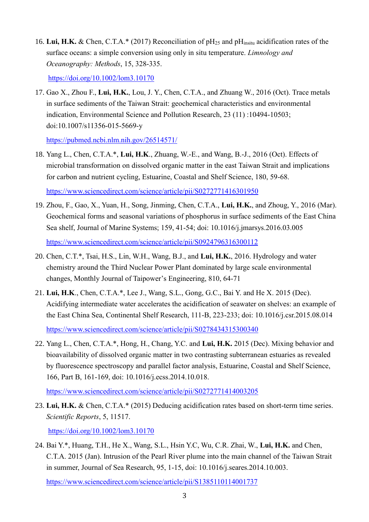16. Lui, H.K. & Chen, C.T.A.\* (2017) Reconciliation of pH<sub>25</sub> and pH<sub>insitu</sub> acidification rates of the surface oceans: a simple conversion using only in situ temperature. *Limnology and Oceanography: Methods*, 15, 328-335.

<https://doi.org/10.1002/lom3.10170>

17. Gao X., Zhou F., **Lui, H.K.**, Lou, J. Y., Chen, C.T.A., and Zhuang W., 2016 (Oct). Trace metals in surface sediments of the Taiwan Strait: geochemical characteristics and environmental indication, Environmental Science and Pollution Research, 23 (11) :10494-10503; doi:10.1007/s11356-015-5669-y

<https://pubmed.ncbi.nlm.nih.gov/26514571/>

18. Yang L., Chen, C.T.A.\*, **Lui, H.K**., Zhuang, W.-E., and Wang, B.-J., 2016 (Oct). Effects of microbial transformation on dissolved organic matter in the east Taiwan Strait and implications for carbon and nutrient cycling, Estuarine, Coastal and Shelf Science, 180, 59-68.

<https://www.sciencedirect.com/science/article/pii/S0272771416301950>

- 19. Zhou, F., Gao, X., Yuan, H., Song, Jinming, Chen, C.T.A., **Lui, H.K.**, and Zhoug, Y., 2016 (Mar). Geochemical forms and seasonal variations of phosphorus in surface sediments of the East China Sea shelf, Journal of Marine Systems; 159, 41-54; doi: 10.1016/j.jmarsys.2016.03.005 <https://www.sciencedirect.com/science/article/pii/S0924796316300112>
- 20. Chen, C.T.\*, Tsai, H.S., Lin, W.H., Wang, B.J., and **Lui, H.K.**, 2016. Hydrology and water chemistry around the Third Nuclear Power Plant dominated by large scale environmental changes, Monthly Journal of Taipower's Engineering, 810, 64-71
- 21. **Lui, H.K**., Chen, C.T.A.\*, Lee J., Wang, S.L., Gong, G.C., Bai Y. and He X. 2015 (Dec). Acidifying intermediate water accelerates the acidification of seawater on shelves: an example of the East China Sea, Continental Shelf Research, 111-B, 223-233; doi: 10.1016/j.csr.2015.08.014 <https://www.sciencedirect.com/science/article/pii/S0278434315300340>
- 22. Yang L., Chen, C.T.A.\*, Hong, H., Chang, Y.C. and **Lui, H.K.** 2015 (Dec). Mixing behavior and bioavailability of dissolved organic matter in two contrasting subterranean estuaries as revealed by fluorescence spectroscopy and parallel factor analysis, Estuarine, Coastal and Shelf Science, 166, Part B, 161-169, doi: 10.1016/j.ecss.2014.10.018.

<https://www.sciencedirect.com/science/article/pii/S0272771414003205>

23. **Lui, H.K.** & Chen, C.T.A.\* (2015) Deducing acidification rates based on short-term time series. *Scientific Reports*, 5, 11517.

<https://doi.org/10.1002/lom3.10170>

24. Bai Y.\*, Huang, T.H., He X., Wang, S.L., Hsin Y.C, Wu, C.R. Zhai, W., **Lui, H.K.** and Chen, C.T.A. 2015 (Jan). Intrusion of the Pearl River plume into the main channel of the Taiwan Strait in summer, Journal of Sea Research, 95, 1-15, doi: 10.1016/j.seares.2014.10.003.

<https://www.sciencedirect.com/science/article/pii/S1385110114001737>